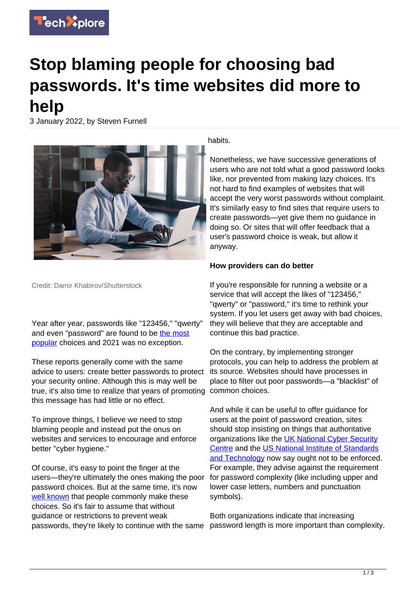

## **Stop blaming people for choosing bad passwords. It's time websites did more to help**

3 January 2022, by Steven Furnell



Credit: Damir Khabirov/Shutterstock

Year after year, passwords like "123456," "qwerty" and even "password" are found to be [the most](https://nordpass.com/most-common-passwords-list/) [popular](https://nordpass.com/most-common-passwords-list/) choices and 2021 was no exception.

These reports generally come with the same advice to users: create better passwords to protect your security online. Although this is may well be true, it's also time to realize that years of promoting common choices. this message has had little or no effect.

To improve things, I believe we need to stop blaming people and instead put the onus on websites and services to encourage and enforce better "cyber hygiene."

Of course, it's easy to point the finger at the users—they're ultimately the ones making the poor password choices. But at the same time, it's now [well known](https://www.ncsc.gov.uk/news/most-hacked-passwords-revealed-as-uk-cyber-survey-exposes-gaps-in-online-security) that people commonly make these choices. So it's fair to assume that without guidance or restrictions to prevent weak passwords, they're likely to continue with the same

habits.

Nonetheless, we have successive generations of users who are not told what a good password looks like, nor prevented from making lazy choices. It's not hard to find examples of websites that will accept the very worst passwords without complaint. It's similarly easy to find sites that require users to create passwords—yet give them no guidance in doing so. Or sites that will offer feedback that a user's password choice is weak, but allow it anyway.

## **How providers can do better**

If you're responsible for running a website or a service that will accept the likes of "123456," "qwerty" or "password," it's time to rethink your system. If you let users get away with bad choices, they will believe that they are acceptable and continue this bad practice.

On the contrary, by implementing stronger protocols, you can help to address the problem at its source. Websites should have processes in place to filter out poor passwords—a "blacklist" of

And while it can be useful to offer guidance for users at the point of password creation, sites should stop insisting on things that authoritative organizations like the [UK National Cyber Security](https://www.ncsc.gov.uk/collection/passwords/updating-your-approach) [Centre](https://www.ncsc.gov.uk/collection/passwords/updating-your-approach) and the [US National Institute of Standards](https://pages.nist.gov/800-63-3/sp800-63b.html) [and Technology](https://pages.nist.gov/800-63-3/sp800-63b.html) now say ought not to be enforced. For example, they advise against the requirement for password complexity (like including upper and lower case letters, numbers and punctuation symbols).

Both organizations indicate that increasing password length is more important than complexity.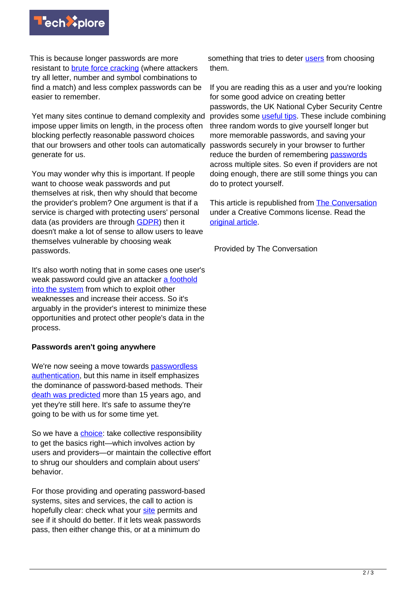

This is because longer passwords are more resistant to [brute force cracking](https://www.techtarget.com/searchsecurity/definition/brute-force-cracking) (where attackers try all letter, number and symbol combinations to find a match) and less complex passwords can be easier to remember.

Yet many sites continue to demand complexity and impose upper limits on length, in the process often blocking perfectly reasonable password choices that our browsers and other tools can automatically generate for us.

You may wonder why this is important. If people want to choose weak passwords and put themselves at risk, then why should that become the provider's problem? One argument is that if a service is charged with protecting users' personal data (as providers are through [GDPR\)](https://gdpr-info.eu/) then it doesn't make a lot of sense to allow users to leave themselves vulnerable by choosing weak passwords.

It's also worth noting that in some cases one user's weak password could give an attacker [a foothold](https://comtact.co.uk/penetration-tester-tales-password-are-a-security-weak-spot/) [into the system](https://comtact.co.uk/penetration-tester-tales-password-are-a-security-weak-spot/) from which to exploit other weaknesses and increase their access. So it's arguably in the provider's interest to minimize these opportunities and protect other people's data in the process.

## **Passwords aren't going anywhere**

We're now seeing a move towards [passwordless](https://www.microsoft.com/security/blog/2021/09/15/the-passwordless-future-is-here-for-your-microsoft-account/) [authentication,](https://www.microsoft.com/security/blog/2021/09/15/the-passwordless-future-is-here-for-your-microsoft-account/) but this name in itself emphasizes the dominance of password-based methods. Their [death was predicted](https://www.cnet.com/news/gates-predicts-death-of-the-password/) more than 15 years ago, and yet they're still here. It's safe to assume they're going to be with us for some time yet.

So we have a [choice:](https://techxplore.com/tags/choice/) take collective responsibility to get the basics right—which involves action by users and providers—or maintain the collective effort to shrug our shoulders and complain about users' behavior.

For those providing and operating password-based systems, sites and services, the call to action is hopefully clear: check what your [site](https://techxplore.com/tags/site/) permits and see if it should do better. If it lets weak passwords pass, then either change this, or at a minimum do

something that tries to deter [users](https://techxplore.com/tags/users/) from choosing them.

If you are reading this as a user and you're looking for some good advice on creating better passwords, the UK National Cyber Security Centre provides some *useful tips*. These include combining three random words to give yourself longer but more memorable passwords, and saving your passwords securely in your browser to further reduce the burden of remembering [passwords](https://techxplore.com/tags/passwords/) across multiple sites. So even if providers are not doing enough, there are still some things you can do to protect yourself.

This article is republished from **[The Conversation](https://theconversation.com)** under a Creative Commons license. Read the [original article](https://theconversation.com/stop-blaming-people-for-choosing-bad-passwords-its-time-websites-did-more-to-help-172257).

Provided by The Conversation